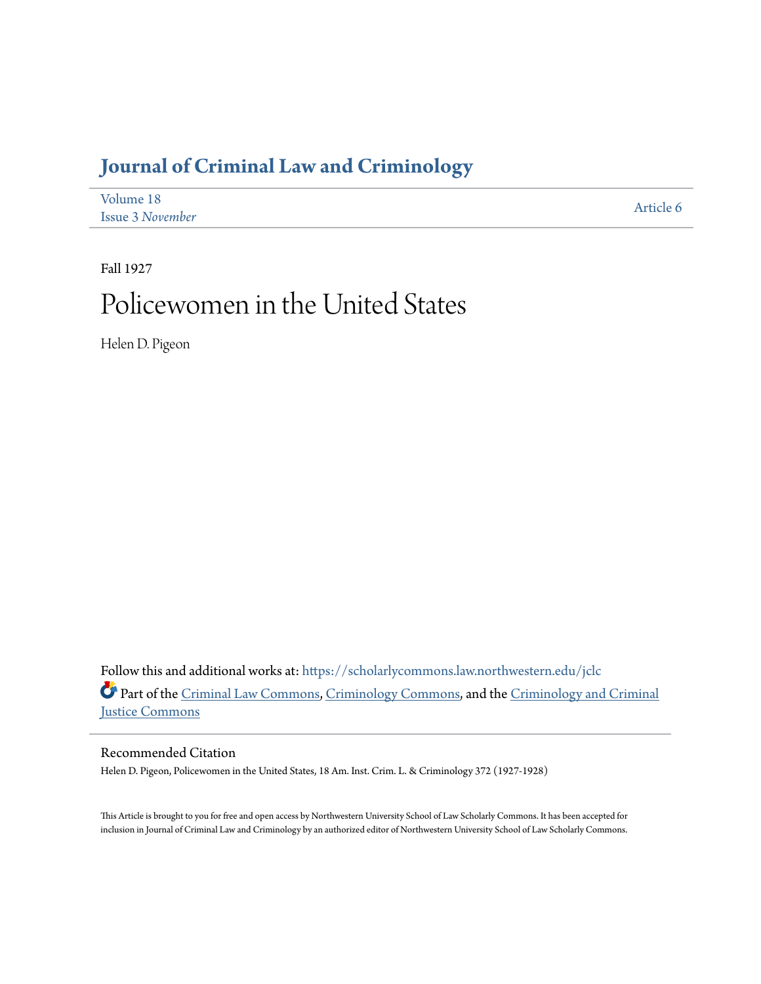## **[Journal of Criminal Law and Criminology](https://scholarlycommons.law.northwestern.edu/jclc?utm_source=scholarlycommons.law.northwestern.edu%2Fjclc%2Fvol18%2Fiss3%2F6&utm_medium=PDF&utm_campaign=PDFCoverPages)**

| Volume 18               | Article 6 |
|-------------------------|-----------|
| <b>Issue 3 November</b> |           |

Fall 1927

## Policewomen in the United States

Helen D. Pigeon

Follow this and additional works at: [https://scholarlycommons.law.northwestern.edu/jclc](https://scholarlycommons.law.northwestern.edu/jclc?utm_source=scholarlycommons.law.northwestern.edu%2Fjclc%2Fvol18%2Fiss3%2F6&utm_medium=PDF&utm_campaign=PDFCoverPages) Part of the [Criminal Law Commons](http://network.bepress.com/hgg/discipline/912?utm_source=scholarlycommons.law.northwestern.edu%2Fjclc%2Fvol18%2Fiss3%2F6&utm_medium=PDF&utm_campaign=PDFCoverPages), [Criminology Commons](http://network.bepress.com/hgg/discipline/417?utm_source=scholarlycommons.law.northwestern.edu%2Fjclc%2Fvol18%2Fiss3%2F6&utm_medium=PDF&utm_campaign=PDFCoverPages), and the [Criminology and Criminal](http://network.bepress.com/hgg/discipline/367?utm_source=scholarlycommons.law.northwestern.edu%2Fjclc%2Fvol18%2Fiss3%2F6&utm_medium=PDF&utm_campaign=PDFCoverPages) [Justice Commons](http://network.bepress.com/hgg/discipline/367?utm_source=scholarlycommons.law.northwestern.edu%2Fjclc%2Fvol18%2Fiss3%2F6&utm_medium=PDF&utm_campaign=PDFCoverPages)

Recommended Citation

Helen D. Pigeon, Policewomen in the United States, 18 Am. Inst. Crim. L. & Criminology 372 (1927-1928)

This Article is brought to you for free and open access by Northwestern University School of Law Scholarly Commons. It has been accepted for inclusion in Journal of Criminal Law and Criminology by an authorized editor of Northwestern University School of Law Scholarly Commons.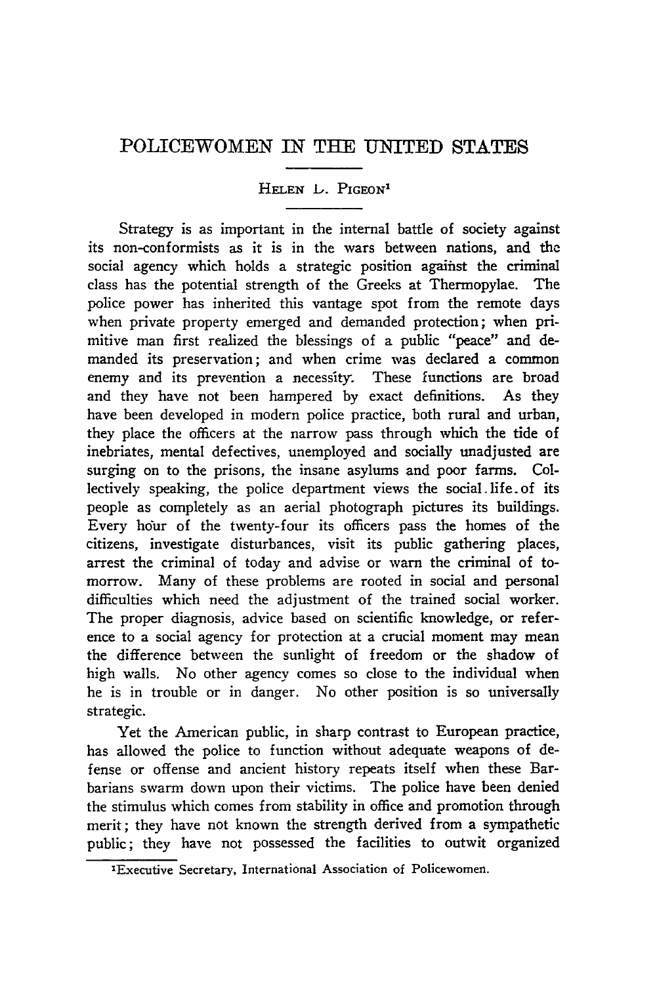## POLICEWOMEN IN **THE UNITED STATES**

**HELEN** L. PIGEON"

Strategy is as important in the internal battle of society against its non-conformists as it is in the wars between nations, and the social agency which holds a strategic position against the criminal class has the potential strength of the Greeks at Thermopylae. The police power has inherited this vantage spot from the remote days when private property emerged and demanded protection; when primitive man first realized the blessings of a public "peace" and demanded its preservation; and when crime was declared a common enemy and its prevention a necessity. These functions are broad and they have not been hampered by exact definitions. As they have been developed in modern police practice, both rural and urban, they place the officers at the narrow pass through which the tide of inebriates, mental defectives, unemployed and socially unadjusted are surging on to the prisons, the insane asylums and poor farms. Collectively speaking, the police department views the social.life-of its people as completely as an aerial photograph pictures its buildings. Every hour of the twenty-four its officers pass the homes of the citizens, investigate disturbances, visit its public gathering places, arrest the criminal of today and advise or warn the criminal of tomorrow. Many of these problems are rooted in social and personal difficulties which need the adjustment of the trained social worker. The proper diagnosis, advice based on scientific knowledge, or reference to a social agency for protection at a crucial moment may mean the difference between the sunlight of freedom or the shadow of high walls. No other agency comes so close to the individual when he is in trouble or in danger. No other position is so universally strategic.

Yet the American public, in sharp contrast to European practice, has allowed the police to function without adequate weapons of defense or offense and ancient history repeats itself when these Barbarians swarm down upon their victims. The police have been denied the stimulus which comes from stability in office and promotion through merit; they have not known the strength derived from a sympathetic public; they have not possessed the facilities to outwit organized

<sup>&#</sup>x27;Executive Secretary, International Association of Policewomen.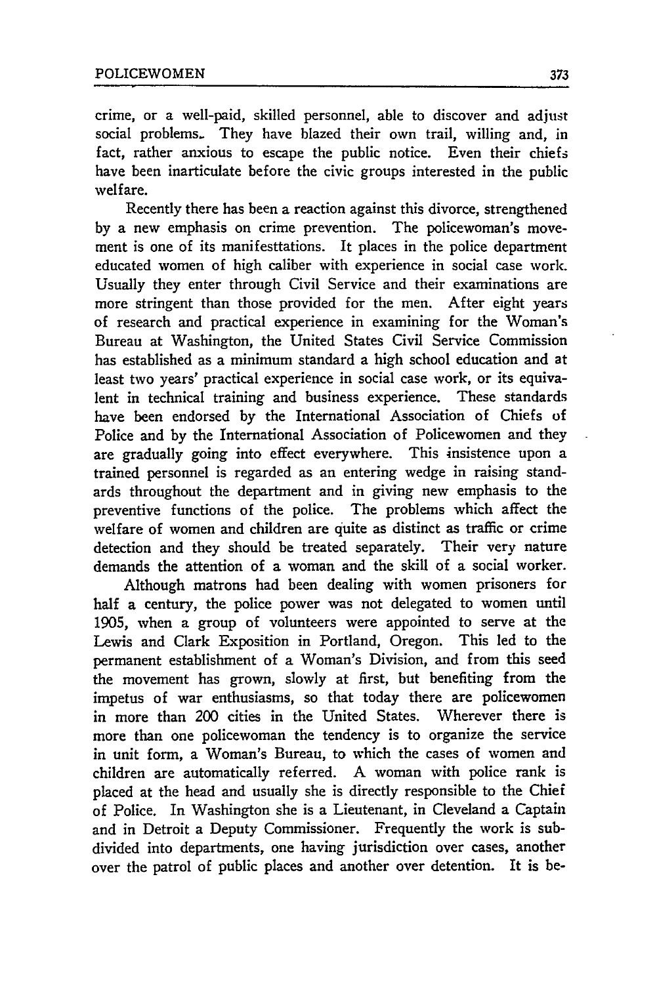crime, or a well-paid, skilled personnel, able to discover and adjust social problems. They have blazed their own trail, willing and, in fact, rather anxious to escape the public notice. Even their chiefs have been inarticulate before the civic groups interested in the public welfare.

Recently there has been a reaction against this divorce, strengthened by a new emphasis on crime prevention. The policewoman's movement is one of its manifesttations. It places in the police department educated women of high caliber with experience in social case work. Usually they enter through Civil Service and their examinations are more stringent than those provided for the men. After eight years of research and practical experience in examining for the Woman's Bureau at Washington, the United States Civil Service Commission has established as a minimum standard a high school education and at least two years' practical experience in social case work, or its equivalent in technical training and business experience. These standards have been endorsed by the International Association of Chiefs of Police and by the International Association of Policewomen and they are gradually going into effect everywhere. This insistence upon a trained personnel is regarded as an entering wedge in raising standards throughout the department and in giving new emphasis to the preventive functions of the police. The problems which affect the welfare of women and children are quite as distinct as traffic or crime detection and they should be treated separately. Their very nature demands the attention of a woman and the skill of a social worker.

Although matrons had been dealing with women prisoners for half a century, the police power was not delegated to women until 1905, when a group of volunteers were appointed to serve at the Lewis and Clark Exposition in Portland, Oregon. This led to the permanent establishment of a Woman's Division, and from this seed the movement has grown, slowly at first, but benefiting from the impetus of war enthusiasms, so that today there are policewomen in more than 200 cities in the United States. Wherever there is more than one policewoman the tendency is to organize the service in unit form, a Woman's Bureau, to which the cases of women and children are automatically referred. A woman with police rank is placed at the head and usually she is directly responsible to the Chief of Police. In Washington she is a Lieutenant, in Cleveland a Captain and in Detroit a Deputy Commissioner. Frequently the work is subdivided into departments, one having jurisdiction over cases, another over the patrol of public places and another over detention. It is be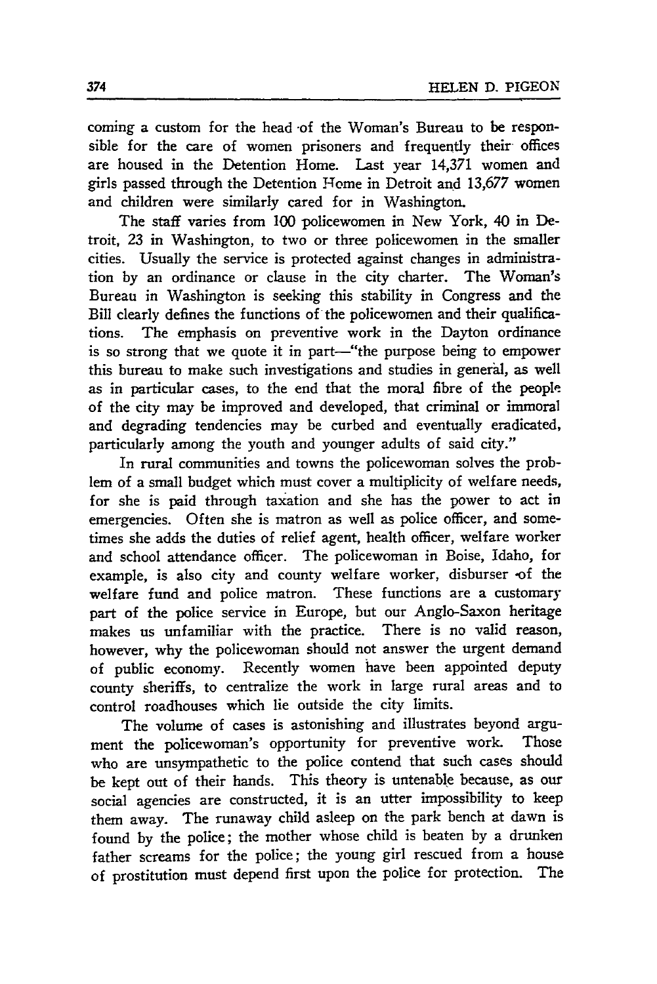coming a custom for the head of the Woman's Bureau to be responsible for the care of women prisoners and frequently their offices are housed in the Detention Home. Last year 14,371 women and girls passed through the Detention Home in Detroit and 13,677 women and children were similarly cared for in Washington.

The staff varies from 100 policewomen in New York, 40 in Detroit, 23 in Washington, to two or three policewomen in the smaller cities. Usually the service is protected against changes in administration by an ordinance or clause in the city charter. The Woman's Bureau in Washington is seeking this stability in Congress and the Bill clearly defines the functions of the policewomen and their qualifications. The emphasis on preventive work in the Dayton ordinance is so strong that we quote it in part-"the purpose being to empower this bureau to make such investigations and studies in general, as well as in particular cases, to the end that the moral fibre of the people of the city may be improved and developed, that criminal or immoral and degrading tendencies may be curbed and eventually eradicated, particularly among the youth and younger adults of said city."

In rural communities and towns the policewoman solves the problem of a small budget which must cover a multiplicity of welfare needs, for she is paid through taxation and she has the power to act in emergencies. Often she is matron as well as police officer, and sometimes she adds the duties of relief agent, health officer, welfare worker and school attendance officer. The policewoman in Boise, Idaho, for example, is also city and county welfare worker, disburser **-of** the welfare fund and police matron. These functions are a customary part of the police service in Europe, but our Anglo-Saxon heritage makes us unfamiliar with the practice. There is no valid reason, however, why the policewoman should not answer the urgent demand of public economy. Recently women have been appointed deputy county sheriffs, to centralize the work in large rural areas and to control roadhouses which lie outside the city limits.

The volume of cases is astonishing and illustrates beyond argument the policewoman's opportunity for preventive work. Those who are unsympathetic to the police contend that such cases should be kept out of their hands. This theory is untenable because, as our social agencies are constructed, it is an utter impossibility to keep them away. The runaway child asleep on the park bench at dawn is found by the police; the mother whose child is beaten by a drunken father screams for the police; the young girl rescued from a house of prostitution must depend first upon the police for protection. The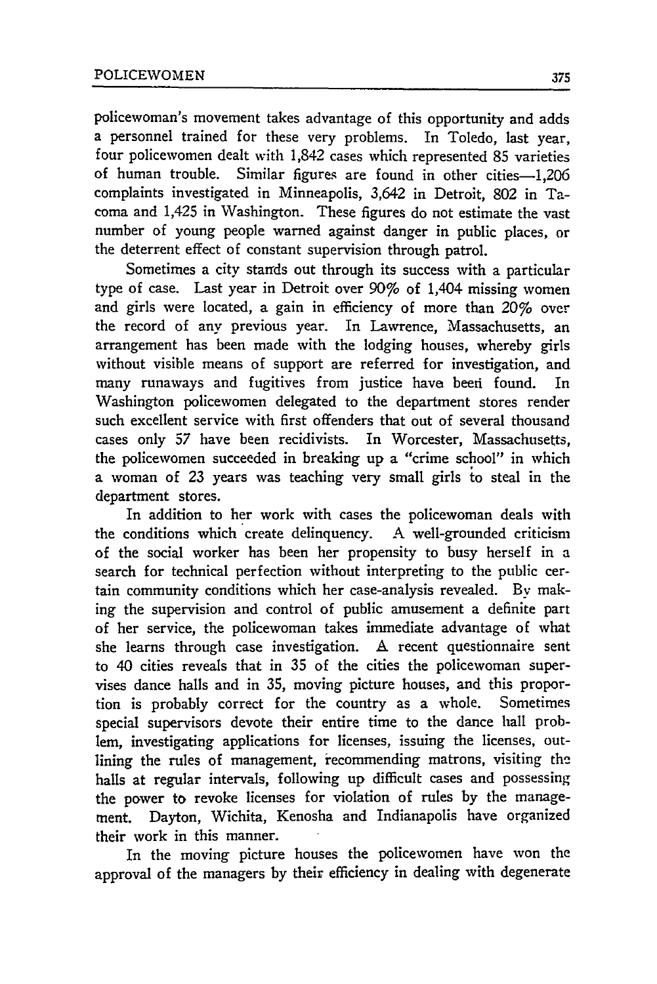policewoman's movement takes advantage of this opportunity and adds a personnel trained for these very problems. In Toledo, last year, four policewomen dealt with 1,842 cases which represented 85 varieties of human trouble. Similar figures are found in other cities-1.206 complaints investigated in Minneapolis, 3,642 in Detroit, 802 in Tacoma and 1,425 in Washington. These figures do not estimate the vast number of young people warned against danger in public places, or the deterrent effect of constant supervision through patrol.

Sometimes a city stands out through its success with a particular type of case. Last year in Detroit over 907 of 1,404 missing women and girls were located, a gain in efficiency of more than 20% over the record of any previous year. In Lawrence, Massachusetts, an arrangement has been made with the lodging houses, whereby girls without visible means of support are referred for investigation, and many runaways and fugitives from justice have beeri found. In Washington policewomen delegated to the department stores render such excellent service with first offenders that out of several thousand cases only 57 have been recidivists. In Worcester, Massachusetts, the policewomen succeeded in breaking up a "crime school" in which a woman of 23 years was teaching very small girls to steal in the department stores.

In addition to her work with cases the policewoman deals with the conditions which create delinquency. **A** well-grounded criticism of the social worker has been her propensity to busy herself in a search for technical perfection without interpreting to the public certain community conditions which her case-analysis revealed. By making the supervision and control of public amusement a definite part of her service, the policewoman takes immediate advantage of what she learns through case investigation. A recent questionnaire sent to 40 cities reveals that in 35 of the cities the policewoman supervises dance halls and in 35, moving picture houses, and this proportion is probably correct for the country as a whole. Sometimes special supervisors devote their entire time to the dance hall problem, investigating applications for licenses, issuing the licenses, outlining the rules of management, recommending matrons, visiting the halls at regular intervals, following up difficult cases and possessing the power **to** revoke licenses for violation of rules by the management. Dayton, Wichita, Kenosha and Indianapolis have organized their work in this manner.

In the moving picture houses the policewomen have won the approval of the managers by their efficiency in dealing with degenerate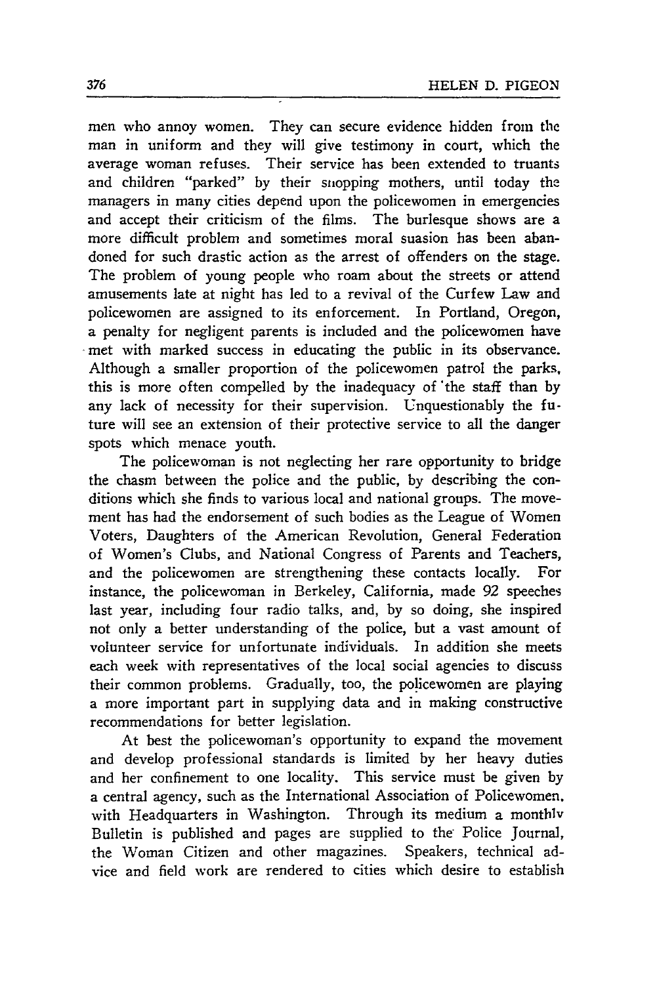men who annoy women. They can secure evidence hidden from the man in uniform and they will give testimony in court, which the average woman refuses. Their service has been extended to truants and children "parked" by their snopping mothers, until today the managers in many cities depend upon the policewomen in emergencies and accept their criticism of the films. The burlesque shows are a more difficult problem and sometimes moral suasion has been abandoned for such drastic action as the arrest of offenders on the stage. The problem of young people who roam about the streets or attend amusements late at night has led to a revival of the Curfew Law and policewomen are assigned to its enforcement. In Portland, Oregon, a penalty for negligent parents is included and the policewomen have met with marked success in educating the public in its observance. Although a smaller proportion of the policewomen patrol the parks, this is more often compelled by the inadequacy of 'the staff than by any lack of necessity for their supervision. Unquestionably the future will see an extension of their protective service to all the danger spots which menace youth.

The policewoman is not neglecting her rare opportunity to bridge the chasm between the police and the public, by describing the conditions which she finds to various local and national groups. The movement has had the endorsement of such bodies as the League of Women Voters, Daughters of the American Revolution, General Federation of Women's Clubs, and National Congress of Parents and Teachers, and the policewomen are strengthening these contacts locally. For instance, the policewoman in Berkeley, California, made 92 speeches last year, including four radio talks, and, by so doing, she inspired not only a better understanding of the police, but a vast amount of volunteer service for unfortunate individuals. In addition she meets each week with representatives of the local social agencies to discuss their common problems. Gradually, too, the policewomen are playing a more important part in supplying data and in making constructive recommendations for better legislation.

At best the policewoman's opportunity to expand the movement and develop professional standards is limited by her heavy duties and her confinement to one locality. This service must be given by a central agency, such as the International Association of Policewomen. with Headquarters in Washington. Through its medium a monthly Bulletin is published and pages are supplied to the- Police Journal, the Woman Citizen and other magazines. Speakers, technical advice and field work are rendered to cities which desire to establish